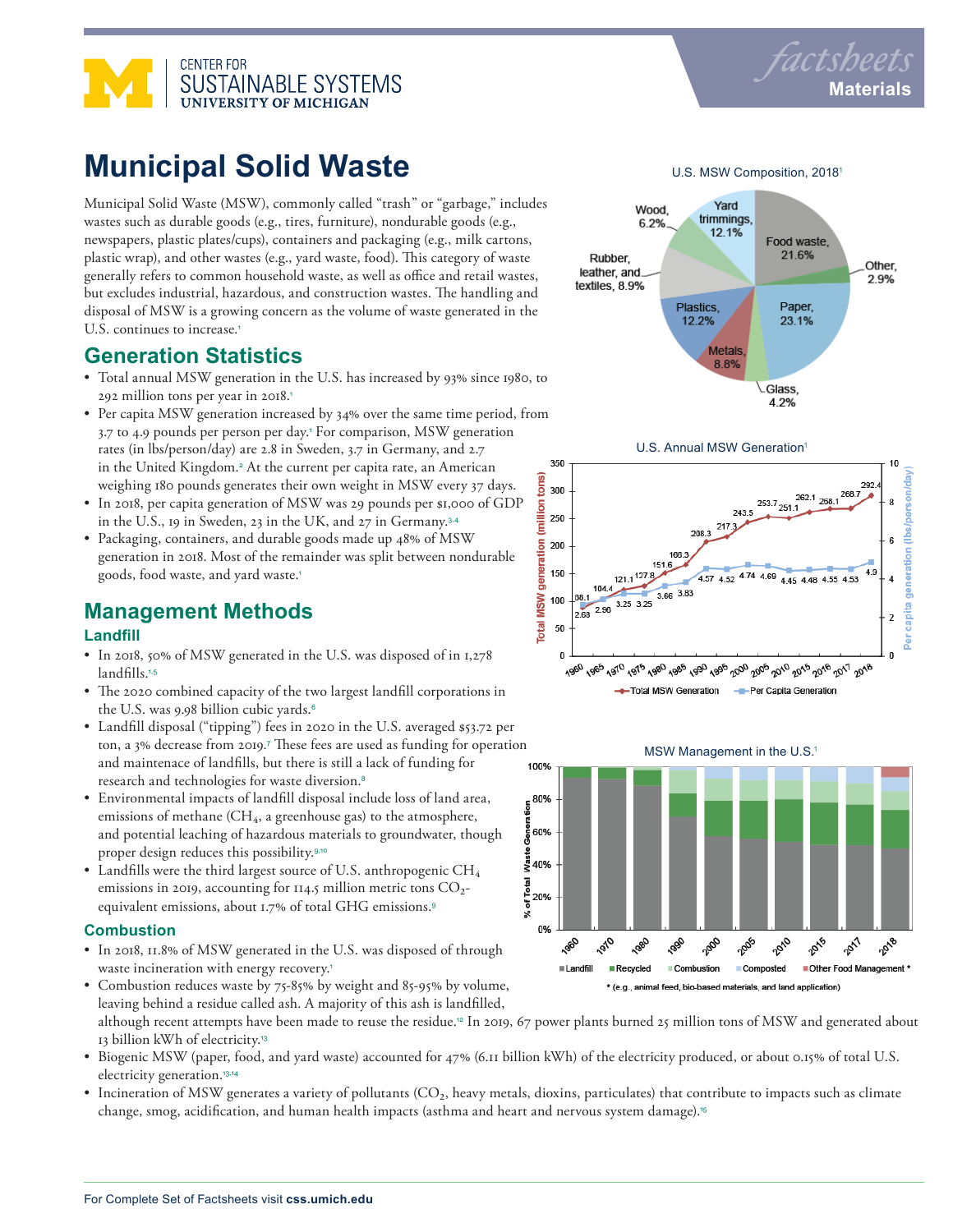



# **Municipal Solid Waste**

Municipal Solid Waste (MSW), commonly called "trash" or "garbage," includes wastes such as durable goods (e.g., tires, furniture), nondurable goods (e.g., newspapers, plastic plates/cups), containers and packaging (e.g., milk cartons, plastic wrap), and other wastes (e.g., yard waste, food). This category of waste generally refers to common household waste, as well as office and retail wastes, but excludes industrial, hazardous, and construction wastes. The handling and disposal of MSW is a growing concern as the volume of waste generated in the U.S. continues to increase.<sup>1</sup>

### **Generation Statistics**

- Total annual MSW generation in the U.S. has increased by 93% since 1980, to 292 million tons per year in 2018.<sup>1</sup>
- Per capita MSW generation increased by 34% over the same time period, from 3.7 to 4.9 pounds per person per day.<sup>1</sup> For comparison, MSW generation rates (in lbs/person/day) are 2.8 in Sweden, 3.7 in Germany, and 2.7 in the United Kingdom.<sup>2</sup> At the current per capita rate, an American weighing 180 pounds generates their own weight in MSW every 37 days.
- In 2018, per capita generation of MSW was 29 pounds per \$1,000 of GDP in the U.S., 19 in Sweden, 23 in the UK, and 27 in Germany.3,4
- Packaging, containers, and durable goods made up 48% of MSW generation in 2018. Most of the remainder was split between nondurable goods, food waste, and yard waste.<sup>1</sup>

## **Management Methods**

#### **Landfill**

- In 2018, 50% of MSW generated in the U.S. was disposed of in 1,278 landfills.1,5
- The 2020 combined capacity of the two largest landfill corporations in the U.S. was 9.98 billion cubic yards.<sup>6</sup>
- Landfill disposal ("tipping") fees in 2020 in the U.S. averaged \$53.72 per ton, a 3% decrease from 2019.<sup>7</sup> These fees are used as funding for operation and maintenace of landfills, but there is still a lack of funding for 100% research and technologies for waste diversion.<sup>8</sup>
- Environmental impacts of landfill disposal include loss of land area, emissions of methane  $(CH_4, a$  greenhouse gas) to the atmosphere, and potential leaching of hazardous materials to groundwater, though proper design reduces this possibility.9,10
- Landfills were the third largest source of U.S. anthropogenic  $CH_4$ emissions in 2019, accounting for 114.5 million metric tons CO2equivalent emissions, about 1.7% of total GHG emissions.<sup>9</sup>

#### **Combustion**

- In 2018, 11.8% of MSW generated in the U.S. was disposed of through waste incineration with energy recovery.<sup>1</sup>
- Combustion reduces waste by 75-85% by weight and 85-95% by volume, leaving behind a residue called ash. A majority of this ash is landfilled,
	- although recent attempts have been made to reuse the residue.12 In 2019, 67 power plants burned 25 million tons of MSW and generated about 13 billion kWh of electricity.<sup>13</sup>
- Biogenic MSW (paper, food, and yard waste) accounted for 47% (6.11 billion kWh) of the electricity produced, or about 0.15% of total U.S. electricity generation.<sup>13,14</sup>
- Incineration of MSW generates a variety of pollutants (CO<sub>2</sub>, heavy metals, dioxins, particulates) that contribute to impacts such as climate change, smog, acidification, and human health impacts (asthma and heart and nervous system damage).<sup>15</sup>

U.S. MSW Composition, 2018<sup>1</sup>